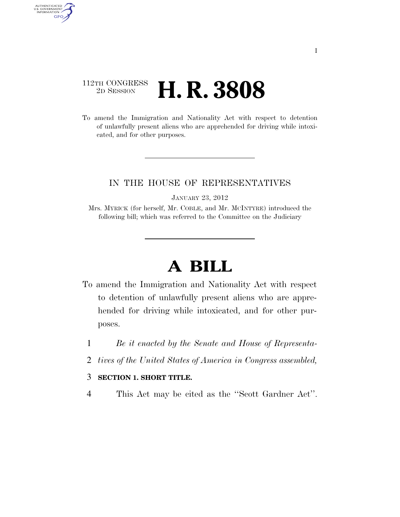## 112TH CONGRESS <sup>2D SESSION</sup> **H. R. 3808**

AUTHENTICATED<br>U.S. GOVERNMENT<br>INFORMATION GPO

> To amend the Immigration and Nationality Act with respect to detention of unlawfully present aliens who are apprehended for driving while intoxicated, and for other purposes.

## IN THE HOUSE OF REPRESENTATIVES

JANUARY 23, 2012

Mrs. MYRICK (for herself, Mr. COBLE, and Mr. MCINTYRE) introduced the following bill; which was referred to the Committee on the Judiciary

## **A BILL**

- To amend the Immigration and Nationality Act with respect to detention of unlawfully present aliens who are apprehended for driving while intoxicated, and for other purposes.
	- 1 *Be it enacted by the Senate and House of Representa-*
	- 2 *tives of the United States of America in Congress assembled,*

## 3 **SECTION 1. SHORT TITLE.**

4 This Act may be cited as the ''Scott Gardner Act''.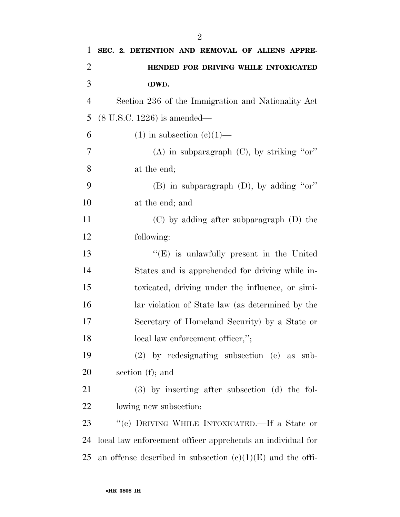| 1              | SEC. 2. DETENTION AND REMOVAL OF ALIENS APPRE-               |
|----------------|--------------------------------------------------------------|
| $\overline{2}$ | HENDED FOR DRIVING WHILE INTOXICATED                         |
| 3              | (DWI).                                                       |
| $\overline{4}$ | Section 236 of the Immigration and Nationality Act           |
| 5              | $(8 \text{ U.S.C. } 1226)$ is amended—                       |
| 6              | $(1)$ in subsection $(e)(1)$ —                               |
| 7              | (A) in subparagraph $(C)$ , by striking "or"                 |
| 8              | at the end;                                                  |
| 9              | (B) in subparagraph $(D)$ , by adding "or"                   |
| 10             | at the end; and                                              |
| 11             | $(C)$ by adding after subparagraph $(D)$ the                 |
| 12             | following:                                                   |
| 13             | "(E) is unlawfully present in the United                     |
| 14             | States and is apprehended for driving while in-              |
| 15             | toxicated, driving under the influence, or simi-             |
| 16             | lar violation of State law (as determined by the             |
| 17             | Secretary of Homeland Security) by a State or                |
| 18             | local law enforcement officer,";                             |
| 19             | $(2)$ by redesignating subsection $(e)$ as sub-              |
| 20             | section $(f)$ ; and                                          |
| 21             | (3) by inserting after subsection (d) the fol-               |
| 22             | lowing new subsection:                                       |
| 23             | "(e) DRIVING WHILE INTOXICATED.—If a State or                |
| 24             | local law enforcement officer apprehends an individual for   |
| 25             | an offense described in subsection $(e)(1)(E)$ and the offi- |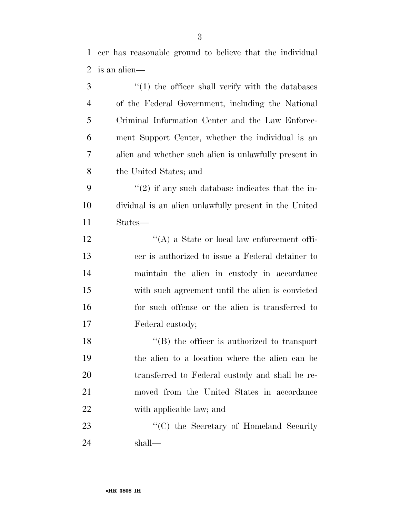| 3              | $\cdot$ (1) the officer shall verify with the databases |
|----------------|---------------------------------------------------------|
| $\overline{4}$ | of the Federal Government, including the National       |
| 5              | Criminal Information Center and the Law Enforce-        |
| 6              | ment Support Center, whether the individual is an       |
| 7              | alien and whether such alien is unlawfully present in   |
| 8              | the United States; and                                  |
| 9              | $\lq(2)$ if any such database indicates that the in-    |
| 10             | dividual is an alien unlawfully present in the United   |
| 11             | States—                                                 |
| 12             | "(A) a State or local law enforcement offi-             |
| 13             | cer is authorized to issue a Federal detainer to        |
| 14             | maintain the alien in custody in accordance             |
| 15             | with such agreement until the alien is convicted        |
| 16             | for such offense or the alien is transferred to         |
| 17             | Federal custody;                                        |
| 18             | $\lq$ (B) the officer is authorized to transport        |
| 19             | the alien to a location where the alien can be          |
| 20             | transferred to Federal custody and shall be re-         |
| 21             | moved from the United States in accordance              |
| 22             | with applicable law; and                                |
| 23             | "(C) the Secretary of Homeland Security"                |
| 24             | shall—                                                  |